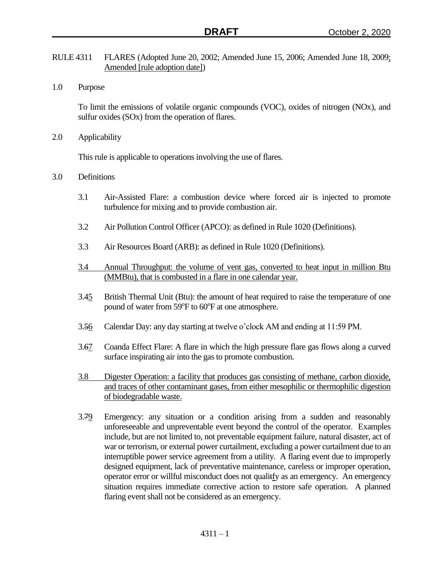- RULE 4311 FLARES (Adopted June 20, 2002; Amended June 15, 2006; Amended June 18, 2009; Amended [rule adoption date])
- 1.0 Purpose

To limit the emissions of volatile organic compounds (VOC), oxides of nitrogen (NOx), and sulfur oxides (SOx) from the operation of flares.

2.0 Applicability

This rule is applicable to operations involving the use of flares.

- 3.0 Definitions
	- 3.1 Air-Assisted Flare: a combustion device where forced air is injected to promote turbulence for mixing and to provide combustion air.
	- 3.2 Air Pollution Control Officer (APCO): as defined in Rule 1020 (Definitions).
	- 3.3 Air Resources Board (ARB): as defined in Rule 1020 (Definitions).
	- 3.4 Annual Throughput: the volume of vent gas, converted to heat input in million Btu (MMBtu), that is combusted in a flare in one calendar year.
	- 3.45 British Thermal Unit (Btu): the amount of heat required to raise the temperature of one pound of water from 59°F to 60°F at one atmosphere.
	- 3.56 Calendar Day: any day starting at twelve o'clock AM and ending at 11:59 PM.
	- 3.67 Coanda Effect Flare: A flare in which the high pressure flare gas flows along a curved surface inspirating air into the gas to promote combustion.
	- 3.8 Digester Operation: a facility that produces gas consisting of methane, carbon dioxide, and traces of other contaminant gases, from either mesophilic or thermophilic digestion of biodegradable waste.
	- 3.79 Emergency: any situation or a condition arising from a sudden and reasonably unforeseeable and unpreventable event beyond the control of the operator. Examples include, but are not limited to, not preventable equipment failure, natural disaster, act of war or terrorism, or external power curtailment, excluding a power curtailment due to an interruptible power service agreement from a utility. A flaring event due to improperly designed equipment, lack of preventative maintenance, careless or improper operation, operator error or willful misconduct does not qualitfy as an emergency. An emergency situation requires immediate corrective action to restore safe operation. A planned flaring event shall not be considered as an emergency.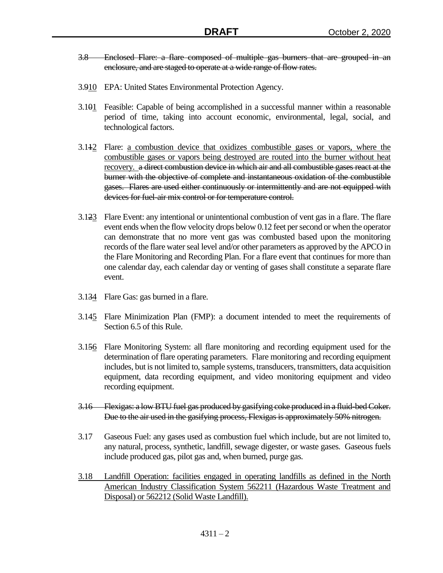- 3.8 Enclosed Flare: a flare composed of multiple gas burners that are grouped in an enclosure, and are staged to operate at a wide range of flow rates.
- 3.910 EPA: United States Environmental Protection Agency.
- 3.101 Feasible: Capable of being accomplished in a successful manner within a reasonable period of time, taking into account economic, environmental, legal, social, and technological factors.
- 3.112 Flare: a combustion device that oxidizes combustible gases or vapors, where the combustible gases or vapors being destroyed are routed into the burner without heat recovery. a direct combustion device in which air and all combustible gases react at the burner with the objective of complete and instantaneous oxidation of the combustible gases. Flares are used either continuously or intermittently and are not equipped with devices for fuel-air mix control or for temperature control.
- 3.123 Flare Event: any intentional or unintentional combustion of vent gas in a flare. The flare event ends when the flow velocity drops below 0.12 feet per second or when the operator can demonstrate that no more vent gas was combusted based upon the monitoring records of the flare water seal level and/or other parameters as approved by the APCO in the Flare Monitoring and Recording Plan. For a flare event that continues for more than one calendar day, each calendar day or venting of gases shall constitute a separate flare event.
- 3.134 Flare Gas: gas burned in a flare.
- 3.145 Flare Minimization Plan (FMP): a document intended to meet the requirements of Section 6.5 of this Rule.
- 3.156 Flare Monitoring System: all flare monitoring and recording equipment used for the determination of flare operating parameters. Flare monitoring and recording equipment includes, but is not limited to, sample systems, transducers, transmitters, data acquisition equipment, data recording equipment, and video monitoring equipment and video recording equipment.
- 3.16 Flexigas: a low BTU fuel gas produced by gasifying coke produced in a fluid-bed Coker. Due to the air used in the gasifying process, Flexigas is approximately 50% nitrogen.
- 3.17 Gaseous Fuel: any gases used as combustion fuel which include, but are not limited to, any natural, process, synthetic, landfill, sewage digester, or waste gases. Gaseous fuels include produced gas, pilot gas and, when burned, purge gas.
- 3.18 Landfill Operation: facilities engaged in operating landfills as defined in the North American Industry Classification System 562211 (Hazardous Waste Treatment and Disposal) or 562212 (Solid Waste Landfill).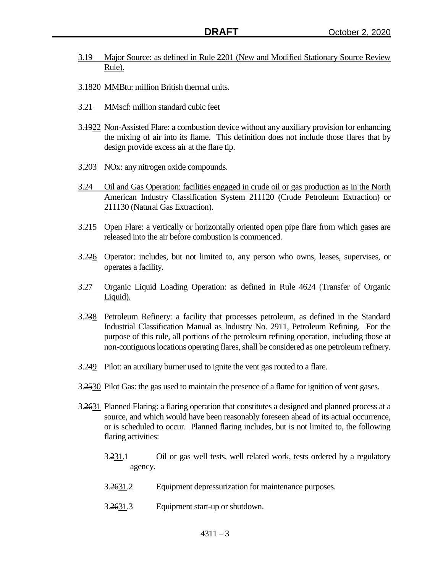- 3.19 Major Source: as defined in Rule 2201 (New and Modified Stationary Source Review Rule).
- 3.1820 MMBtu: million British thermal units.
- 3.21 MMscf: million standard cubic feet
- 3.1922 Non-Assisted Flare: a combustion device without any auxiliary provision for enhancing the mixing of air into its flame. This definition does not include those flares that by design provide excess air at the flare tip.
- 3.203 NOx: any nitrogen oxide compounds.
- 3.24 Oil and Gas Operation: facilities engaged in crude oil or gas production as in the North American Industry Classification System 211120 (Crude Petroleum Extraction) or 211130 (Natural Gas Extraction).
- 3.215 Open Flare: a vertically or horizontally oriented open pipe flare from which gases are released into the air before combustion is commenced.
- 3.226 Operator: includes, but not limited to, any person who owns, leases, supervises, or operates a facility.
- 3.27 Organic Liquid Loading Operation: as defined in Rule 4624 (Transfer of Organic Liquid).
- 3.238 Petroleum Refinery: a facility that processes petroleum, as defined in the Standard Industrial Classification Manual as Industry No. 2911, Petroleum Refining. For the purpose of this rule, all portions of the petroleum refining operation, including those at non-contiguous locations operating flares, shall be considered as one petroleum refinery.
- 3.249 Pilot: an auxiliary burner used to ignite the vent gas routed to a flare.
- 3.2530 Pilot Gas: the gas used to maintain the presence of a flame for ignition of vent gases.
- 3.2631 Planned Flaring: a flaring operation that constitutes a designed and planned process at a source, and which would have been reasonably foreseen ahead of its actual occurrence, or is scheduled to occur. Planned flaring includes, but is not limited to, the following flaring activities:
	- 3.231.1 Oil or gas well tests, well related work, tests ordered by a regulatory agency.
	- 3.2631.2 Equipment depressurization for maintenance purposes.
	- 3.2631.3 Equipment start-up or shutdown.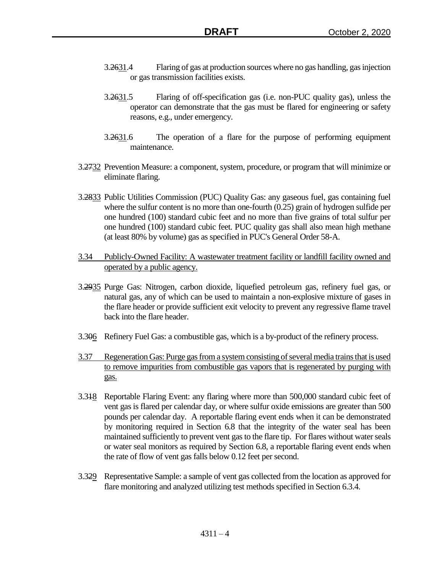- 3.2631.4 Flaring of gas at production sources where no gas handling, gas injection or gas transmission facilities exists.
- 3.2631.5 Flaring of off-specification gas (i.e. non-PUC quality gas), unless the operator can demonstrate that the gas must be flared for engineering or safety reasons, e.g., under emergency.
- 3.2631.6 The operation of a flare for the purpose of performing equipment maintenance.
- 3.2732 Prevention Measure: a component, system, procedure, or program that will minimize or eliminate flaring.
- 3.2833 Public Utilities Commission (PUC) Quality Gas: any gaseous fuel, gas containing fuel where the sulfur content is no more than one-fourth (0.25) grain of hydrogen sulfide per one hundred (100) standard cubic feet and no more than five grains of total sulfur per one hundred (100) standard cubic feet. PUC quality gas shall also mean high methane (at least 80% by volume) gas as specified in PUC's General Order 58-A.
- 3.34 Publicly-Owned Facility: A wastewater treatment facility or landfill facility owned and operated by a public agency.
- 3.2935 Purge Gas: Nitrogen, carbon dioxide, liquefied petroleum gas, refinery fuel gas, or natural gas, any of which can be used to maintain a non-explosive mixture of gases in the flare header or provide sufficient exit velocity to prevent any regressive flame travel back into the flare header.
- 3.306 Refinery Fuel Gas: a combustible gas, which is a by-product of the refinery process.
- 3.37 Regeneration Gas: Purge gas from a system consisting of several media trains that is used to remove impurities from combustible gas vapors that is regenerated by purging with gas.
- 3.318 Reportable Flaring Event: any flaring where more than 500,000 standard cubic feet of vent gas is flared per calendar day, or where sulfur oxide emissions are greater than 500 pounds per calendar day. A reportable flaring event ends when it can be demonstrated by monitoring required in Section 6.8 that the integrity of the water seal has been maintained sufficiently to prevent vent gas to the flare tip. For flares without water seals or water seal monitors as required by Section 6.8, a reportable flaring event ends when the rate of flow of vent gas falls below 0.12 feet per second.
- 3.329 Representative Sample: a sample of vent gas collected from the location as approved for flare monitoring and analyzed utilizing test methods specified in Section 6.3.4.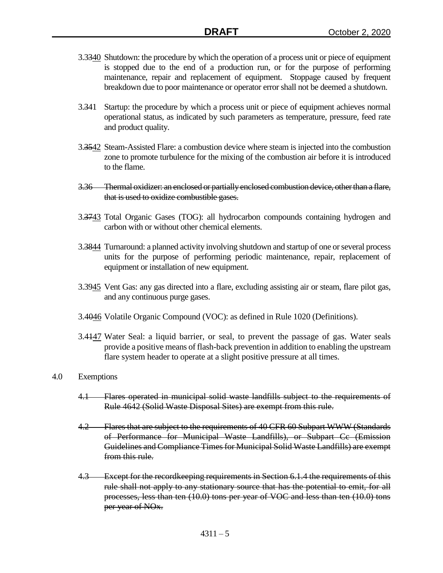- 3.3340 Shutdown: the procedure by which the operation of a process unit or piece of equipment is stopped due to the end of a production run, or for the purpose of performing maintenance, repair and replacement of equipment. Stoppage caused by frequent breakdown due to poor maintenance or operator error shall not be deemed a shutdown.
- 3.341 Startup: the procedure by which a process unit or piece of equipment achieves normal operational status, as indicated by such parameters as temperature, pressure, feed rate and product quality.
- 3.3542 Steam-Assisted Flare: a combustion device where steam is injected into the combustion zone to promote turbulence for the mixing of the combustion air before it is introduced to the flame.
- 3.36 Thermal oxidizer: an enclosed or partially enclosed combustion device, other than a flare, that is used to oxidize combustible gases.
- 3.3743 Total Organic Gases (TOG): all hydrocarbon compounds containing hydrogen and carbon with or without other chemical elements.
- 3.3844 Turnaround: a planned activity involving shutdown and startup of one or several process units for the purpose of performing periodic maintenance, repair, replacement of equipment or installation of new equipment.
- 3.3945 Vent Gas: any gas directed into a flare, excluding assisting air or steam, flare pilot gas, and any continuous purge gases.
- 3.4046 Volatile Organic Compound (VOC): as defined in Rule 1020 (Definitions).
- 3.4447 Water Seal: a liquid barrier, or seal, to prevent the passage of gas. Water seals provide a positive means of flash-back prevention in addition to enabling the upstream flare system header to operate at a slight positive pressure at all times.

## 4.0 Exemptions

- 4.1 Flares operated in municipal solid waste landfills subject to the requirements of Rule 4642 (Solid Waste Disposal Sites) are exempt from this rule.
- 4.2 Flares that are subject to the requirements of 40 CFR 60 Subpart WWW (Standards of Performance for Municipal Waste Landfills), or Subpart Cc (Emission Guidelines and Compliance Times for Municipal Solid Waste Landfills) are exempt from this rule.
- 4.3 Except for the record keeping requirements in Section 6.1.4 the requirements of this rule shall not apply to any stationary source that has the potential to emit, for all processes, less than ten (10.0) tons per year of VOC and less than ten (10.0) tons per year of NOx.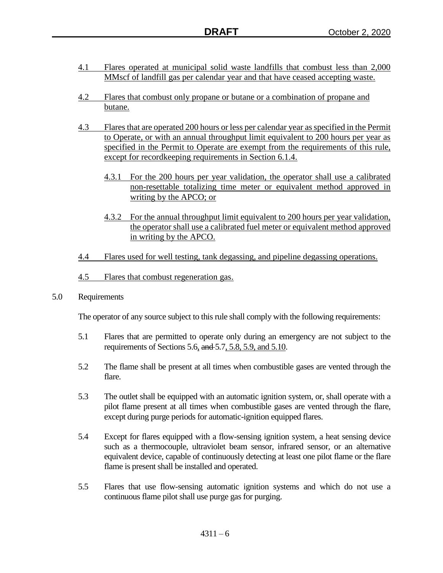- 4.1 Flares operated at municipal solid waste landfills that combust less than 2,000 MMscf of landfill gas per calendar year and that have ceased accepting waste.
- 4.2 Flares that combust only propane or butane or a combination of propane and butane.
- 4.3 Flares that are operated 200 hours or less per calendar year as specified in the Permit to Operate, or with an annual throughput limit equivalent to 200 hours per year as specified in the Permit to Operate are exempt from the requirements of this rule, except for recordkeeping requirements in Section 6.1.4.
	- 4.3.1 For the 200 hours per year validation, the operator shall use a calibrated non-resettable totalizing time meter or equivalent method approved in writing by the APCO; or
	- 4.3.2 For the annual throughput limit equivalent to 200 hours per year validation, the operator shall use a calibrated fuel meter or equivalent method approved in writing by the APCO.
- 4.4 Flares used for well testing, tank degassing, and pipeline degassing operations.
- 4.5 Flares that combust regeneration gas.
- 5.0 Requirements

The operator of any source subject to this rule shall comply with the following requirements:

- 5.1 Flares that are permitted to operate only during an emergency are not subject to the requirements of Sections 5.6, and 5.7, 5.8, 5.9, and 5.10.
- 5.2 The flame shall be present at all times when combustible gases are vented through the flare.
- 5.3 The outlet shall be equipped with an automatic ignition system, or, shall operate with a pilot flame present at all times when combustible gases are vented through the flare, except during purge periods for automatic-ignition equipped flares.
- 5.4 Except for flares equipped with a flow-sensing ignition system, a heat sensing device such as a thermocouple, ultraviolet beam sensor, infrared sensor, or an alternative equivalent device, capable of continuously detecting at least one pilot flame or the flare flame is present shall be installed and operated.
- 5.5 Flares that use flow-sensing automatic ignition systems and which do not use a continuous flame pilot shall use purge gas for purging.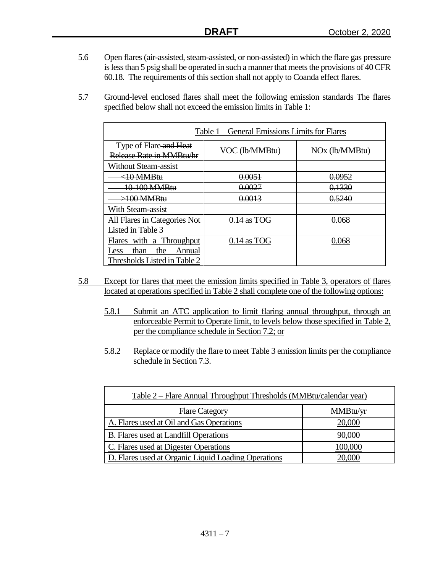- 5.6 Open flares (air-assisted, steam-assisted, or non-assisted) in which the flare gas pressure is less than 5 psig shall be operated in such a manner that meets the provisions of 40 CFR 60.18. The requirements of this section shall not apply to Coanda effect flares.
- 5.7 Ground-level enclosed flares shall meet the following emission standards The flares specified below shall not exceed the emission limits in Table 1:

| Table 1 – General Emissions Limits for Flares      |                |                            |
|----------------------------------------------------|----------------|----------------------------|
| Type of Flare and Heat<br>Release Rate in MMBtu/hr | VOC (lb/MMBtu) | NO <sub>x</sub> (lb/MMBtu) |
| <del>Without Steam-assist</del>                    |                |                            |
| :10 MMRtu                                          | 0.0051         | 0.0952                     |
| 10-100 MMBtu                                       | 0.0027         | 0.1330                     |
| $>100$ MMRth                                       | 0.0013         | 0.5240                     |
| <del>With Steam-assist</del>                       |                |                            |
| All Flares in Categories Not                       | $0.14$ as TOG  | 0.068                      |
| Listed in Table 3                                  |                |                            |
| Flares with a Throughput                           | $0.14$ as TOG  | 0.068                      |
| the<br>than<br>Annual<br>Less                      |                |                            |
| Thresholds Listed in Table 2                       |                |                            |

- 5.8 Except for flares that meet the emission limits specified in Table 3, operators of flares located at operations specified in Table 2 shall complete one of the following options:
	- 5.8.1 Submit an ATC application to limit flaring annual throughput, through an enforceable Permit to Operate limit, to levels below those specified in Table 2, per the compliance schedule in Section 7.2; or
	- 5.8.2 Replace or modify the flare to meet Table 3 emission limits per the compliance schedule in Section 7.3.

| <u> Table 2 – Flare Annual Throughput Thresholds (MMBtu/calendar year)</u> |          |
|----------------------------------------------------------------------------|----------|
| <b>Flare Category</b>                                                      | MMBtu/yr |
| A. Flares used at Oil and Gas Operations                                   | 20,000   |
| B. Flares used at Landfill Operations                                      | 90,000   |
| C. Flares used at Digester Operations                                      | 100,000  |
| D. Flares used at Organic Liquid Loading Operations                        | 20,000   |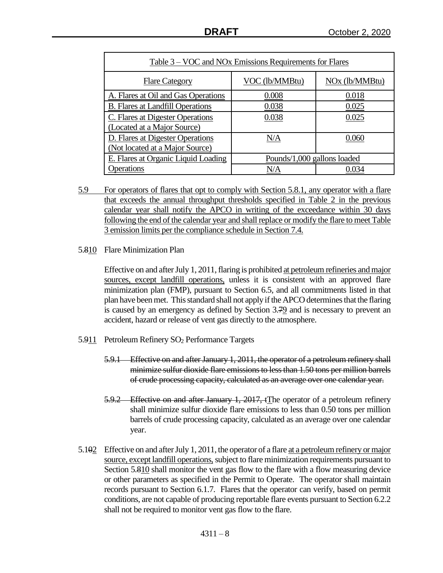| Table 3 – VOC and NOx Emissions Requirements for Flares |                             |                            |
|---------------------------------------------------------|-----------------------------|----------------------------|
| <b>Flare Category</b>                                   | VOC (lb/MMBtu)              | NO <sub>x</sub> (lb/MMBtu) |
| A. Flares at Oil and Gas Operations                     | 0.008                       | 0.018                      |
| <b>B.</b> Flares at Landfill Operations                 | 0.038                       | 0.025                      |
| C. Flares at Digester Operations                        | 0.038                       | 0.025                      |
| (Located at a Major Source)                             |                             |                            |
| D. Flares at Digester Operations                        | N/A                         | 0.060                      |
| (Not located at a Major Source)                         |                             |                            |
| E. Flares at Organic Liquid Loading                     | Pounds/1,000 gallons loaded |                            |
| Operations                                              | N/A                         | 0.034                      |

- 5.9 For operators of flares that opt to comply with Section 5.8.1, any operator with a flare that exceeds the annual throughput thresholds specified in Table 2 in the previous calendar year shall notify the APCO in writing of the exceedance within 30 days following the end of the calendar year and shall replace or modify the flare to meet Table 3 emission limits per the compliance schedule in Section 7.4.
- 5.810 Flare Minimization Plan

Effective on and after July 1, 2011, flaring is prohibited at petroleum refineries and major sources, except landfill operations, unless it is consistent with an approved flare minimization plan (FMP), pursuant to Section 6.5, and all commitments listed in that plan have been met. This standard shall not apply if the APCO determinesthat the flaring is caused by an emergency as defined by Section 3.79 and is necessary to prevent an accident, hazard or release of vent gas directly to the atmosphere.

- 5.911 Petroleum Refinery SO<sup>2</sup> Performance Targets
	- 5.9.1 Effective on and after January 1, 2011, the operator of a petroleum refinery shall minimize sulfur dioxide flare emissions to less than 1.50 tons per million barrels of crude processing capacity, calculated as an average over one calendar year.
	- 5.9.2 Effective on and after January 1, 2017, tThe operator of a petroleum refinery shall minimize sulfur dioxide flare emissions to less than 0.50 tons per million barrels of crude processing capacity, calculated as an average over one calendar year.
- 5.102 Effective on and after July 1, 2011, the operator of a flare at a petroleum refinery or major source, except landfill operations, subject to flare minimization requirements pursuant to Section 5.810 shall monitor the vent gas flow to the flare with a flow measuring device or other parameters as specified in the Permit to Operate. The operator shall maintain records pursuant to Section 6.1.7. Flares that the operator can verify, based on permit conditions, are not capable of producing reportable flare events pursuant to Section 6.2.2 shall not be required to monitor vent gas flow to the flare.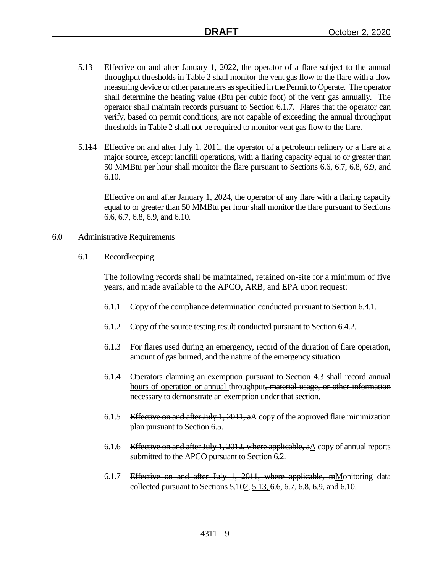- 5.13 Effective on and after January 1, 2022, the operator of a flare subject to the annual throughput thresholds in Table 2 shall monitor the vent gas flow to the flare with a flow measuring device or other parameters as specified in the Permit to Operate. The operator shall determine the heating value (Btu per cubic foot) of the vent gas annually. The operator shall maintain records pursuant to Section 6.1.7. Flares that the operator can verify, based on permit conditions, are not capable of exceeding the annual throughput thresholds in Table 2 shall not be required to monitor vent gas flow to the flare.
- 5.114 Effective on and after July 1, 2011, the operator of a petroleum refinery or a flare at a major source, except landfill operations, with a flaring capacity equal to or greater than 50 MMBtu per hour shall monitor the flare pursuant to Sections 6.6, 6.7, 6.8, 6.9, and 6.10.

Effective on and after January 1, 2024, the operator of any flare with a flaring capacity equal to or greater than 50 MMBtu per hour shall monitor the flare pursuant to Sections 6.6, 6.7, 6.8, 6.9, and 6.10.

- 6.0 Administrative Requirements
	- 6.1 Recordkeeping

The following records shall be maintained, retained on-site for a minimum of five years, and made available to the APCO, ARB, and EPA upon request:

- 6.1.1 Copy of the compliance determination conducted pursuant to Section 6.4.1.
- 6.1.2 Copy of the source testing result conducted pursuant to Section 6.4.2.
- 6.1.3 For flares used during an emergency, record of the duration of flare operation, amount of gas burned, and the nature of the emergency situation.
- 6.1.4 Operators claiming an exemption pursuant to Section 4.3 shall record annual hours of operation or annual throughput, material usage, or other information necessary to demonstrate an exemption under that section.
- 6.1.5 Effective on and after July 1, 2011,  $a\Delta$  copy of the approved flare minimization plan pursuant to Section 6.5.
- 6.1.6 Effective on and after July 1, 2012, where applicable, a A copy of annual reports submitted to the APCO pursuant to Section 6.2.
- 6.1.7 Effective on and after July 1, 2011, where applicable, mMonitoring data collected pursuant to Sections 5.102, 5.13, 6.6, 6.7, 6.8, 6.9, and 6.10.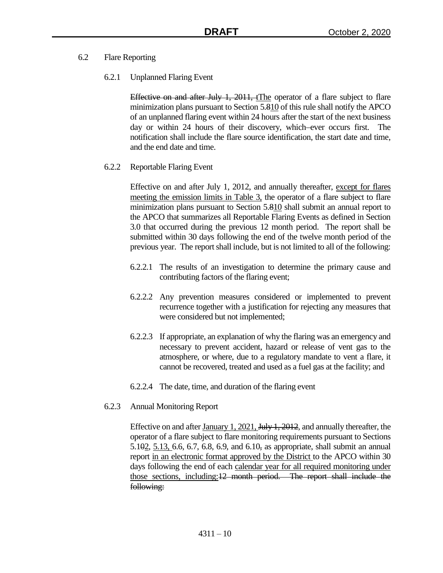- 6.2 Flare Reporting
	- 6.2.1 Unplanned Flaring Event

Effective on and after July 1, 2011, tThe operator of a flare subject to flare minimization plans pursuant to Section 5.810 of this rule shall notify the APCO of an unplanned flaring event within 24 hours after the start of the next business day or within 24 hours of their discovery, which ever occurs first. The notification shall include the flare source identification, the start date and time, and the end date and time.

6.2.2 Reportable Flaring Event

Effective on and after July 1, 2012, and annually thereafter, except for flares meeting the emission limits in Table 3, the operator of a flare subject to flare minimization plans pursuant to Section 5.810 shall submit an annual report to the APCO that summarizes all Reportable Flaring Events as defined in Section 3.0 that occurred during the previous 12 month period. The report shall be submitted within 30 days following the end of the twelve month period of the previous year. The report shall include, but is not limited to all of the following:

- 6.2.2.1 The results of an investigation to determine the primary cause and contributing factors of the flaring event;
- 6.2.2.2 Any prevention measures considered or implemented to prevent recurrence together with a justification for rejecting any measures that were considered but not implemented;
- 6.2.2.3 If appropriate, an explanation of why the flaring was an emergency and necessary to prevent accident, hazard or release of vent gas to the atmosphere, or where, due to a regulatory mandate to vent a flare, it cannot be recovered, treated and used as a fuel gas at the facility; and
- 6.2.2.4 The date, time, and duration of the flaring event
- 6.2.3 Annual Monitoring Report

Effective on and after January 1, 2021, <del>July 1, 2012</del>, and annually thereafter, the operator of a flare subject to flare monitoring requirements pursuant to Sections 5.102, 5.13, 6.6, 6.7, 6.8, 6.9, and 6.10, as appropriate, shall submit an annual report in an electronic format approved by the District to the APCO within 30 days following the end of each calendar year for all required monitoring under those sections, including:12 month period. The report shall include the following: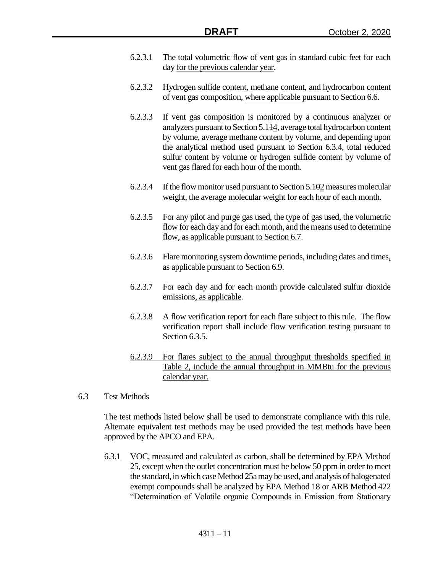- 6.2.3.1 The total volumetric flow of vent gas in standard cubic feet for each day for the previous calendar year.
- 6.2.3.2 Hydrogen sulfide content, methane content, and hydrocarbon content of vent gas composition, where applicable pursuant to Section 6.6.
- 6.2.3.3 If vent gas composition is monitored by a continuous analyzer or analyzers pursuant to Section 5.114, average total hydrocarbon content by volume, average methane content by volume, and depending upon the analytical method used pursuant to Section 6.3.4, total reduced sulfur content by volume or hydrogen sulfide content by volume of vent gas flared for each hour of the month.
- 6.2.3.4 If the flow monitor used pursuant to Section  $5.102$  measures molecular weight, the average molecular weight for each hour of each month.
- 6.2.3.5 For any pilot and purge gas used, the type of gas used, the volumetric flow for each day and for each month, and the means used to determine flow, as applicable pursuant to Section 6.7.
- 6.2.3.6 Flare monitoring system downtime periods, including dates and times, as applicable pursuant to Section 6.9.
- 6.2.3.7 For each day and for each month provide calculated sulfur dioxide emissions, as applicable.
- 6.2.3.8 A flow verification report for each flare subject to this rule. The flow verification report shall include flow verification testing pursuant to Section 6.3.5.
- 6.2.3.9 For flares subject to the annual throughput thresholds specified in Table 2, include the annual throughput in MMBtu for the previous calendar year.
- 6.3 Test Methods

The test methods listed below shall be used to demonstrate compliance with this rule. Alternate equivalent test methods may be used provided the test methods have been approved by the APCO and EPA.

6.3.1 VOC, measured and calculated as carbon, shall be determined by EPA Method 25, except when the outlet concentration must be below 50 ppm in order to meet the standard, in which case Method 25a may be used, and analysis of halogenated exempt compounds shall be analyzed by EPA Method 18 or ARB Method 422 "Determination of Volatile organic Compounds in Emission from Stationary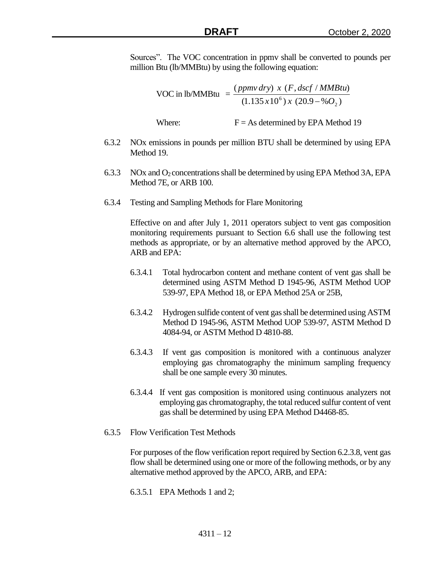Sources". The VOC concentration in ppmv shall be converted to pounds per million Btu (lb/MMBtu) by using the following equation:

> VOC in  $lb/MMBtu =$  $(1.135 \, x 10^6) \, x \, (20.9 - \% \, O_2)$  $(ppmv\, dry)$  x  $(F, dscf / MMBtu)$ 2  $x10^6$ ) x (20.9 – % O *ppmv dry x F dscf MMBtu*  $\overline{a}$

Where:  $F = As$  determined by EPA Method 19

- 6.3.2 NOx emissions in pounds per million BTU shall be determined by using EPA Method 19.
- 6.3.3 NOx and O<sub>2</sub> concentrations shall be determined by using EPA Method 3A, EPA Method 7E, or ARB 100.
- 6.3.4 Testing and Sampling Methods for Flare Monitoring

Effective on and after July 1, 2011 operators subject to vent gas composition monitoring requirements pursuant to Section 6.6 shall use the following test methods as appropriate, or by an alternative method approved by the APCO, ARB and EPA:

- 6.3.4.1 Total hydrocarbon content and methane content of vent gas shall be determined using ASTM Method D 1945-96, ASTM Method UOP 539-97, EPA Method 18, or EPA Method 25A or 25B,
- 6.3.4.2 Hydrogen sulfide content of vent gas shall be determined using ASTM Method D 1945-96, ASTM Method UOP 539-97, ASTM Method D 4084-94, or ASTM Method D 4810-88.
- 6.3.4.3 If vent gas composition is monitored with a continuous analyzer employing gas chromatography the minimum sampling frequency shall be one sample every 30 minutes.
- 6.3.4.4 If vent gas composition is monitored using continuous analyzers not employing gas chromatography, the total reduced sulfur content of vent gas shall be determined by using EPA Method D4468-85.
- 6.3.5 Flow Verification Test Methods

For purposes of the flow verification report required by Section 6.2.3.8, vent gas flow shall be determined using one or more of the following methods, or by any alternative method approved by the APCO, ARB, and EPA:

6.3.5.1 EPA Methods 1 and 2;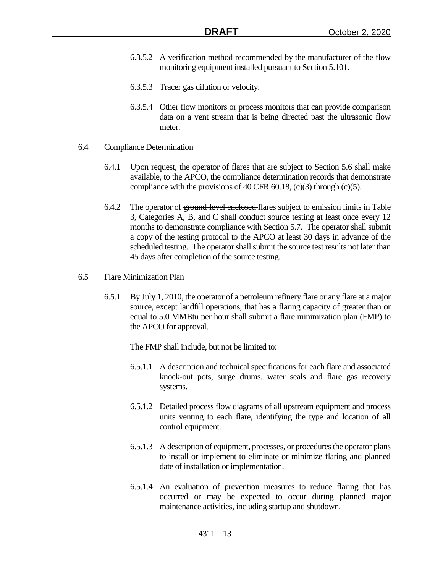- 6.3.5.2 A verification method recommended by the manufacturer of the flow monitoring equipment installed pursuant to Section 5.101.
- 6.3.5.3 Tracer gas dilution or velocity.
- 6.3.5.4 Other flow monitors or process monitors that can provide comparison data on a vent stream that is being directed past the ultrasonic flow meter.
- 6.4 Compliance Determination
	- 6.4.1 Upon request, the operator of flares that are subject to Section 5.6 shall make available, to the APCO, the compliance determination records that demonstrate compliance with the provisions of 40 CFR  $60.18$ , (c)(3) through (c)(5).
	- 6.4.2 The operator of ground-level enclosed-flares subject to emission limits in Table 3, Categories A, B, and C shall conduct source testing at least once every 12 months to demonstrate compliance with Section 5.7. The operator shall submit a copy of the testing protocol to the APCO at least 30 days in advance of the scheduled testing. The operator shall submit the source test results not later than 45 days after completion of the source testing.
- 6.5 Flare Minimization Plan
	- 6.5.1 By July 1, 2010, the operator of a petroleum refinery flare or any flare at a major source, except landfill operations, that has a flaring capacity of greater than or equal to 5.0 MMBtu per hour shall submit a flare minimization plan (FMP) to the APCO for approval.

The FMP shall include, but not be limited to:

- 6.5.1.1 A description and technical specifications for each flare and associated knock-out pots, surge drums, water seals and flare gas recovery systems.
- 6.5.1.2 Detailed process flow diagrams of all upstream equipment and process units venting to each flare, identifying the type and location of all control equipment.
- 6.5.1.3 A description of equipment, processes, or procedures the operator plans to install or implement to eliminate or minimize flaring and planned date of installation or implementation.
- 6.5.1.4 An evaluation of prevention measures to reduce flaring that has occurred or may be expected to occur during planned major maintenance activities, including startup and shutdown.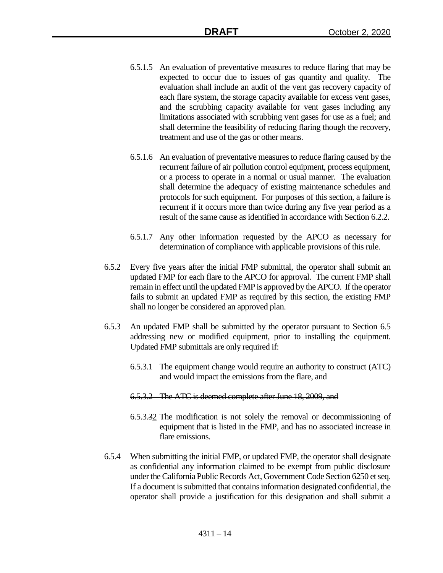- 6.5.1.5 An evaluation of preventative measures to reduce flaring that may be expected to occur due to issues of gas quantity and quality. The evaluation shall include an audit of the vent gas recovery capacity of each flare system, the storage capacity available for excess vent gases, and the scrubbing capacity available for vent gases including any limitations associated with scrubbing vent gases for use as a fuel; and shall determine the feasibility of reducing flaring though the recovery, treatment and use of the gas or other means.
- 6.5.1.6 An evaluation of preventative measures to reduce flaring caused by the recurrent failure of air pollution control equipment, process equipment, or a process to operate in a normal or usual manner. The evaluation shall determine the adequacy of existing maintenance schedules and protocols for such equipment. For purposes of this section, a failure is recurrent if it occurs more than twice during any five year period as a result of the same cause as identified in accordance with Section 6.2.2.
- 6.5.1.7 Any other information requested by the APCO as necessary for determination of compliance with applicable provisions of this rule.
- 6.5.2 Every five years after the initial FMP submittal, the operator shall submit an updated FMP for each flare to the APCO for approval. The current FMP shall remain in effect until the updated FMP is approved by the APCO. If the operator fails to submit an updated FMP as required by this section, the existing FMP shall no longer be considered an approved plan.
- 6.5.3 An updated FMP shall be submitted by the operator pursuant to Section 6.5 addressing new or modified equipment, prior to installing the equipment. Updated FMP submittals are only required if:
	- 6.5.3.1 The equipment change would require an authority to construct (ATC) and would impact the emissions from the flare, and
	- 6.5.3.2 The ATC is deemed complete after June 18, 2009, and
	- 6.5.3.32 The modification is not solely the removal or decommissioning of equipment that is listed in the FMP, and has no associated increase in flare emissions.
- 6.5.4 When submitting the initial FMP, or updated FMP, the operator shall designate as confidential any information claimed to be exempt from public disclosure under the California Public Records Act, Government Code Section 6250 et seq. If a document is submitted that contains information designated confidential, the operator shall provide a justification for this designation and shall submit a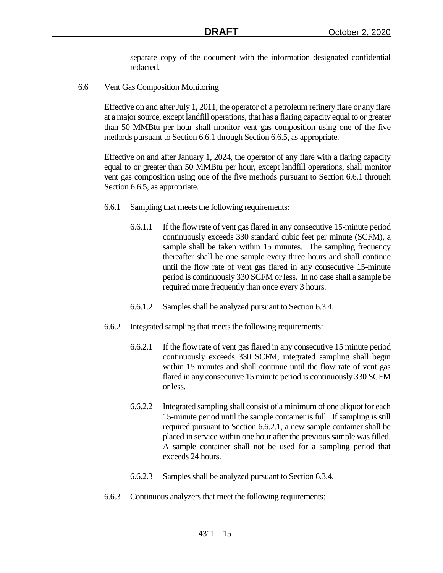separate copy of the document with the information designated confidential redacted.

6.6 Vent Gas Composition Monitoring

Effective on and after July 1, 2011, the operator of a petroleum refinery flare or any flare at a major source, except landfill operations, that has a flaring capacity equal to or greater than 50 MMBtu per hour shall monitor vent gas composition using one of the five methods pursuant to Section 6.6.1 through Section 6.6.5, as appropriate.

Effective on and after January 1, 2024, the operator of any flare with a flaring capacity equal to or greater than 50 MMBtu per hour, except landfill operations, shall monitor vent gas composition using one of the five methods pursuant to Section 6.6.1 through Section 6.6.5, as appropriate.

- 6.6.1 Sampling that meets the following requirements:
	- 6.6.1.1 If the flow rate of vent gas flared in any consecutive 15-minute period continuously exceeds 330 standard cubic feet per minute (SCFM), a sample shall be taken within 15 minutes. The sampling frequency thereafter shall be one sample every three hours and shall continue until the flow rate of vent gas flared in any consecutive 15-minute period is continuously 330 SCFM or less. In no case shall a sample be required more frequently than once every 3 hours.
	- 6.6.1.2 Samples shall be analyzed pursuant to Section 6.3.4.
- 6.6.2 Integrated sampling that meets the following requirements:
	- 6.6.2.1 If the flow rate of vent gas flared in any consecutive 15 minute period continuously exceeds 330 SCFM, integrated sampling shall begin within 15 minutes and shall continue until the flow rate of vent gas flared in any consecutive 15 minute period is continuously 330 SCFM or less.
	- 6.6.2.2 Integrated sampling shall consist of a minimum of one aliquot for each 15-minute period until the sample container is full. If sampling is still required pursuant to Section 6.6.2.1, a new sample container shall be placed in service within one hour after the previous sample was filled. A sample container shall not be used for a sampling period that exceeds 24 hours.
	- 6.6.2.3 Samples shall be analyzed pursuant to Section 6.3.4.
- 6.6.3 Continuous analyzers that meet the following requirements: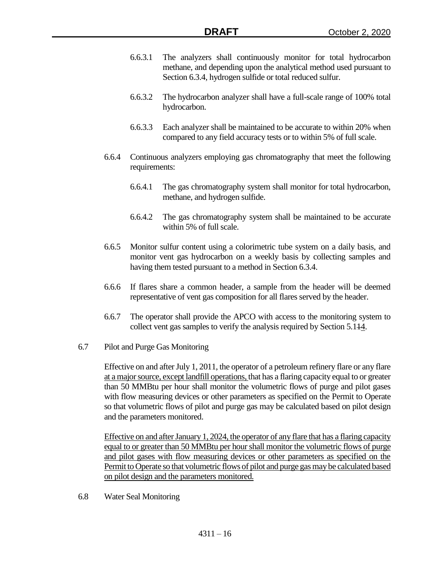- 6.6.3.1 The analyzers shall continuously monitor for total hydrocarbon methane, and depending upon the analytical method used pursuant to Section 6.3.4, hydrogen sulfide or total reduced sulfur.
- 6.6.3.2 The hydrocarbon analyzer shall have a full-scale range of 100% total hydrocarbon.
- 6.6.3.3 Each analyzer shall be maintained to be accurate to within 20% when compared to any field accuracy tests or to within 5% of full scale.
- 6.6.4 Continuous analyzers employing gas chromatography that meet the following requirements:
	- 6.6.4.1 The gas chromatography system shall monitor for total hydrocarbon, methane, and hydrogen sulfide.
	- 6.6.4.2 The gas chromatography system shall be maintained to be accurate within 5% of full scale.
- 6.6.5 Monitor sulfur content using a colorimetric tube system on a daily basis, and monitor vent gas hydrocarbon on a weekly basis by collecting samples and having them tested pursuant to a method in Section 6.3.4.
- 6.6.6 If flares share a common header, a sample from the header will be deemed representative of vent gas composition for all flares served by the header.
- 6.6.7 The operator shall provide the APCO with access to the monitoring system to collect vent gas samples to verify the analysis required by Section 5.114.
- 6.7 Pilot and Purge Gas Monitoring

Effective on and after July 1, 2011, the operator of a petroleum refinery flare or any flare at a major source, except landfill operations, that has a flaring capacity equal to or greater than 50 MMBtu per hour shall monitor the volumetric flows of purge and pilot gases with flow measuring devices or other parameters as specified on the Permit to Operate so that volumetric flows of pilot and purge gas may be calculated based on pilot design and the parameters monitored.

Effective on and after January 1, 2024, the operator of any flare that has a flaring capacity equal to or greater than 50 MMBtu per hourshall monitor the volumetric flows of purge and pilot gases with flow measuring devices or other parameters as specified on the Permit to Operate so that volumetric flows of pilot and purge gas may be calculated based on pilot design and the parameters monitored.

6.8 Water Seal Monitoring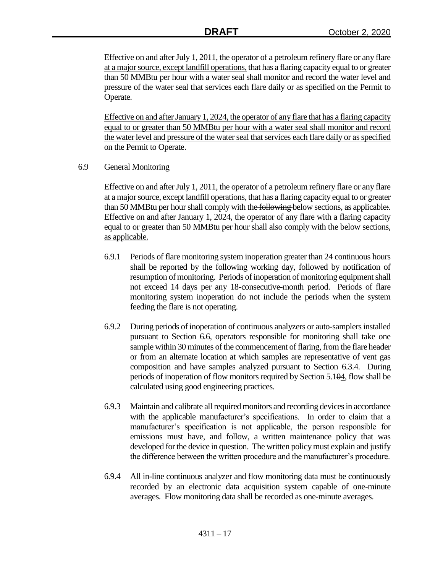Effective on and after July 1, 2011, the operator of a petroleum refinery flare or any flare at a major source, except landfill operations, that has a flaring capacity equal to or greater than 50 MMBtu per hour with a water seal shall monitor and record the water level and pressure of the water seal that services each flare daily or as specified on the Permit to Operate.

Effective on and after January 1, 2024, the operator of any flare that has a flaring capacity equal to or greater than 50 MMBtu per hour with a water seal shall monitor and record the water level and pressure of the water seal that services each flare daily or as specified on the Permit to Operate.

6.9 General Monitoring

Effective on and after July 1, 2011, the operator of a petroleum refinery flare or any flare at a major source, except landfill operations, that has a flaring capacity equal to or greater than 50 MMBtu per hour shall comply with the following below sections, as applicable. Effective on and after January 1, 2024, the operator of any flare with a flaring capacity equal to or greater than 50 MMBtu per hour shall also comply with the below sections, as applicable.

- 6.9.1 Periods of flare monitoring system inoperation greater than 24 continuous hours shall be reported by the following working day, followed by notification of resumption of monitoring. Periods of inoperation of monitoring equipment shall not exceed 14 days per any 18-consecutive-month period. Periods of flare monitoring system inoperation do not include the periods when the system feeding the flare is not operating.
- 6.9.2 During periods of inoperation of continuous analyzers or auto-samplers installed pursuant to Section 6.6, operators responsible for monitoring shall take one sample within 30 minutes of the commencement of flaring, from the flare header or from an alternate location at which samples are representative of vent gas composition and have samples analyzed pursuant to Section 6.3.4. During periods of inoperation of flow monitors required by Section 5.104, flow shall be calculated using good engineering practices.
- 6.9.3 Maintain and calibrate all required monitors and recording devices in accordance with the applicable manufacturer's specifications. In order to claim that a manufacturer's specification is not applicable, the person responsible for emissions must have, and follow, a written maintenance policy that was developed for the device in question. The written policy must explain and justify the difference between the written procedure and the manufacturer's procedure.
- 6.9.4 All in-line continuous analyzer and flow monitoring data must be continuously recorded by an electronic data acquisition system capable of one-minute averages. Flow monitoring data shall be recorded as one-minute averages.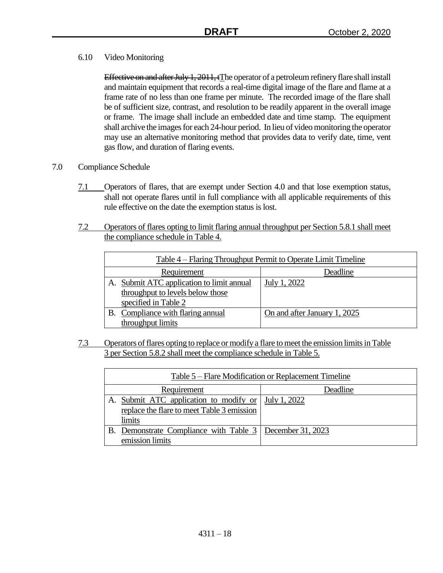6.10 Video Monitoring

Effective on and after July 1, 2011, tThe operator of a petroleum refinery flare shall install and maintain equipment that records a real-time digital image of the flare and flame at a frame rate of no less than one frame per minute. The recorded image of the flare shall be of sufficient size, contrast, and resolution to be readily apparent in the overall image or frame. The image shall include an embedded date and time stamp. The equipment shall archive the images for each 24-hour period. In lieu of video monitoring the operator may use an alternative monitoring method that provides data to verify date, time, vent gas flow, and duration of flaring events.

- 7.0 Compliance Schedule
	- 7.1 Operators of flares, that are exempt under Section 4.0 and that lose exemption status, shall not operate flares until in full compliance with all applicable requirements of this rule effective on the date the exemption status is lost.
	- 7.2 Operators of flares opting to limit flaring annual throughput per Section 5.8.1 shall meet the compliance schedule in Table 4.

| Table 4 – Flaring Throughput Permit to Operate Limit Timeline |                                           |                              |
|---------------------------------------------------------------|-------------------------------------------|------------------------------|
|                                                               | Requirement                               | Deadline                     |
|                                                               | A. Submit ATC application to limit annual | July 1, 2022                 |
|                                                               | throughput to levels below those          |                              |
|                                                               | specified in Table 2                      |                              |
|                                                               | B. Compliance with flaring annual         | On and after January 1, 2025 |
|                                                               | throughput limits                         |                              |

7.3 Operators of flares opting to replace or modify a flare to meet the emission limits in Table 3 per Section 5.8.2 shall meet the compliance schedule in Table 5.

| Table 5 – Flare Modification or Replacement Timeline       |              |
|------------------------------------------------------------|--------------|
| Requirement                                                | Deadline     |
| A. Submit ATC application to modify or                     | July 1, 2022 |
| replace the flare to meet Table 3 emission                 |              |
| limits                                                     |              |
| B. Demonstrate Compliance with Table 3   December 31, 2023 |              |
| emission limits                                            |              |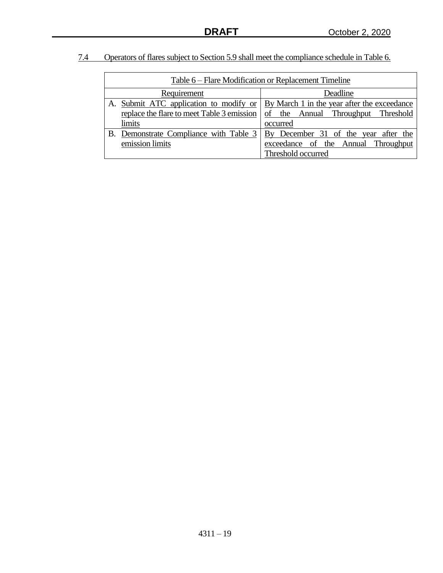|  | Operators of flares subject to Section 5.9 shall meet the compliance schedule in Table 6. |  |
|--|-------------------------------------------------------------------------------------------|--|
|  |                                                                                           |  |

| Table 6 – Flare Modification or Replacement Timeline |                                                                                    |  |
|------------------------------------------------------|------------------------------------------------------------------------------------|--|
| Requirement                                          | Deadline                                                                           |  |
|                                                      | A. Submit ATC application to modify or By March 1 in the year after the exceedance |  |
| replace the flare to meet Table 3 emission           | of the Annual Throughput Threshold                                                 |  |
| limits                                               | occurred                                                                           |  |
| B. Demonstrate Compliance with Table 3               | By December 31 of the year after the                                               |  |
| emission limits                                      | exceedance of the Annual Throughput                                                |  |
|                                                      | Threshold occurred                                                                 |  |